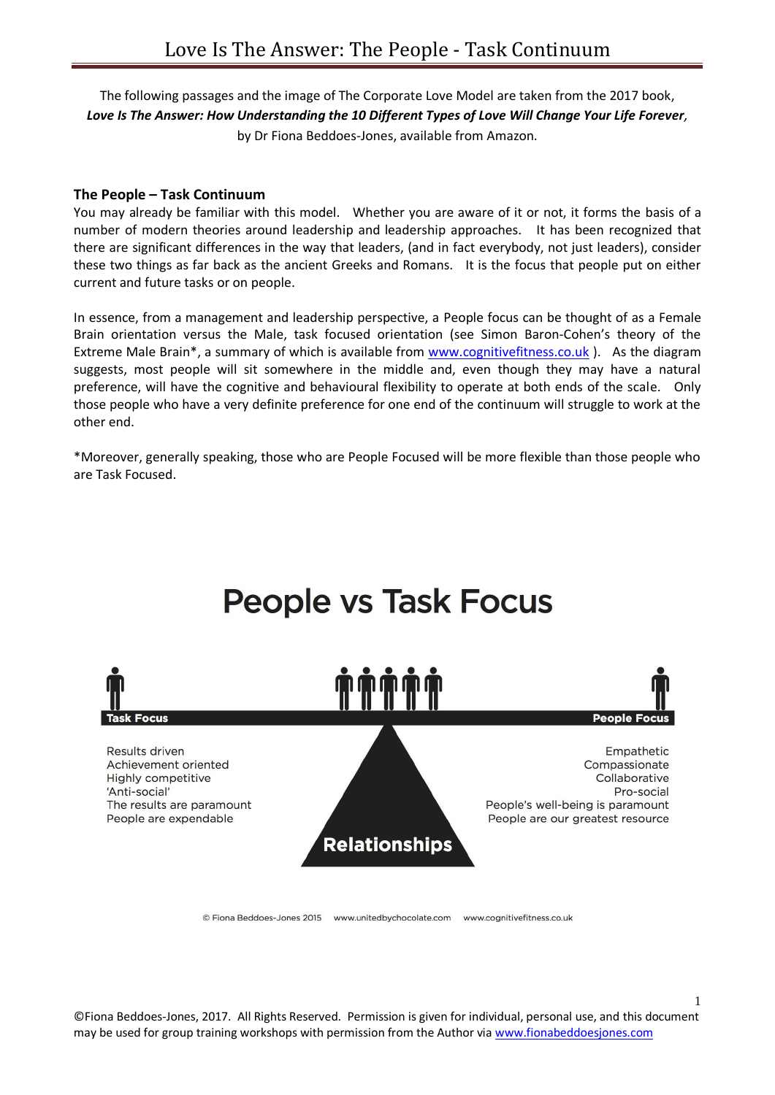The following passages and the image of The Corporate Love Model are taken from the 2017 book, *Love Is The Answer: How Understanding the 10 Different Types of Love Will Change Your Life Forever,*  by Dr Fiona Beddoes-Jones, available from Amazon.

## **The People – Task Continuum**

You may already be familiar with this model. Whether you are aware of it or not, it forms the basis of a number of modern theories around leadership and leadership approaches. It has been recognized that there are significant differences in the way that leaders, (and in fact everybody, not just leaders), consider these two things as far back as the ancient Greeks and Romans. It is the focus that people put on either current and future tasks or on people.

In essence, from a management and leadership perspective, a People focus can be thought of as a Female Brain orientation versus the Male, task focused orientation (see Simon Baron-Cohen's theory of the Extreme Male Brain\*, a summary of which is available from [www.cognitivefitness.co.uk](http://www.cognitivefitness.co.uk/) ). As the diagram suggests, most people will sit somewhere in the middle and, even though they may have a natural preference, will have the cognitive and behavioural flexibility to operate at both ends of the scale. Only those people who have a very definite preference for one end of the continuum will struggle to work at the other end.

\*Moreover, generally speaking, those who are People Focused will be more flexible than those people who are Task Focused.



© Fiona Beddoes-Jones 2015 www.unitedbychocolate.com www.cognitivefitness.co.uk

©Fiona Beddoes-Jones, 2017. All Rights Reserved. Permission is given for individual, personal use, and this document may be used for group training workshops with permission from the Author vi[a www.fionabeddoesjones.com](http://www.fionabeddoesjones.com/) 

1